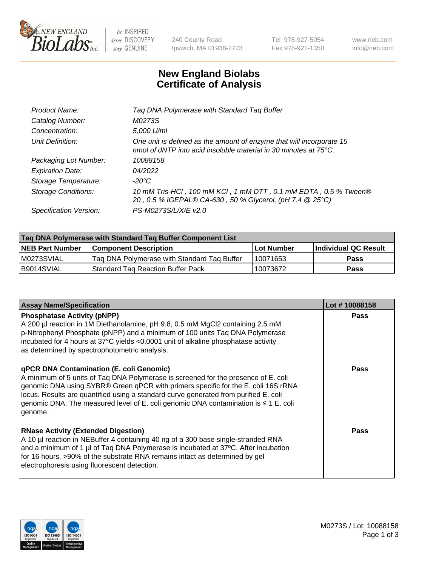

 $be$  INSPIRED drive DISCOVERY stay GENUINE

240 County Road Ipswich, MA 01938-2723 Tel 978-927-5054 Fax 978-921-1350 www.neb.com info@neb.com

## **New England Biolabs Certificate of Analysis**

| Tag DNA Polymerase with Standard Tag Buffer                                                                                              |
|------------------------------------------------------------------------------------------------------------------------------------------|
| M0273S                                                                                                                                   |
| 5,000 U/ml                                                                                                                               |
| One unit is defined as the amount of enzyme that will incorporate 15<br>nmol of dNTP into acid insoluble material in 30 minutes at 75°C. |
| 10088158                                                                                                                                 |
| 04/2022                                                                                                                                  |
| $-20^{\circ}$ C                                                                                                                          |
| 10 mM Tris-HCI, 100 mM KCI, 1 mM DTT, 0.1 mM EDTA, 0.5 % Tween®<br>20, 0.5 % IGEPAL® CA-630, 50 % Glycerol, (pH 7.4 @ 25°C)              |
| PS-M0273S/L/X/E v2.0                                                                                                                     |
|                                                                                                                                          |

| Tag DNA Polymerase with Standard Tag Buffer Component List |                                             |            |                      |  |  |
|------------------------------------------------------------|---------------------------------------------|------------|----------------------|--|--|
| <b>NEB Part Number</b>                                     | <b>Component Description</b>                | Lot Number | Individual QC Result |  |  |
| M0273SVIAL                                                 | Tag DNA Polymerase with Standard Tag Buffer | 10071653   | Pass                 |  |  |
| I B9014SVIAL                                               | <b>Standard Tag Reaction Buffer Pack</b>    | 10073672   | <b>Pass</b>          |  |  |

| <b>Assay Name/Specification</b>                                                                                                                                                                                                                                                                                                                                                                               | Lot #10088158 |
|---------------------------------------------------------------------------------------------------------------------------------------------------------------------------------------------------------------------------------------------------------------------------------------------------------------------------------------------------------------------------------------------------------------|---------------|
| <b>Phosphatase Activity (pNPP)</b><br>A 200 µl reaction in 1M Diethanolamine, pH 9.8, 0.5 mM MgCl2 containing 2.5 mM<br>p-Nitrophenyl Phosphate (pNPP) and a minimum of 100 units Taq DNA Polymerase<br>incubated for 4 hours at 37°C yields <0.0001 unit of alkaline phosphatase activity<br>as determined by spectrophotometric analysis.                                                                   | <b>Pass</b>   |
| qPCR DNA Contamination (E. coli Genomic)<br>A minimum of 5 units of Tag DNA Polymerase is screened for the presence of E. coli<br>genomic DNA using SYBR® Green qPCR with primers specific for the E. coli 16S rRNA<br>locus. Results are quantified using a standard curve generated from purified E. coli<br>genomic DNA. The measured level of E. coli genomic DNA contamination is ≤ 1 E. coli<br>genome. | Pass          |
| <b>RNase Activity (Extended Digestion)</b><br>A 10 µl reaction in NEBuffer 4 containing 40 ng of a 300 base single-stranded RNA<br>and a minimum of 1 µl of Taq DNA Polymerase is incubated at 37°C. After incubation<br>for 16 hours, >90% of the substrate RNA remains intact as determined by gel<br>electrophoresis using fluorescent detection.                                                          | <b>Pass</b>   |

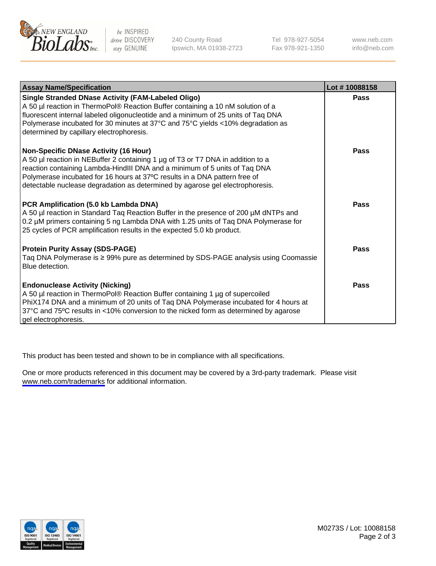

be INSPIRED drive DISCOVERY stay GENUINE

240 County Road Ipswich, MA 01938-2723 Tel 978-927-5054 Fax 978-921-1350

www.neb.com info@neb.com

| <b>Assay Name/Specification</b>                                                                                                                                                                                                                                                                                                                                       | Lot #10088158 |
|-----------------------------------------------------------------------------------------------------------------------------------------------------------------------------------------------------------------------------------------------------------------------------------------------------------------------------------------------------------------------|---------------|
| <b>Single Stranded DNase Activity (FAM-Labeled Oligo)</b><br>A 50 µl reaction in ThermoPol® Reaction Buffer containing a 10 nM solution of a<br>fluorescent internal labeled oligonucleotide and a minimum of 25 units of Taq DNA<br>Polymerase incubated for 30 minutes at 37°C and 75°C yields <10% degradation as<br>determined by capillary electrophoresis.      | Pass          |
| Non-Specific DNase Activity (16 Hour)<br>A 50 µl reaction in NEBuffer 2 containing 1 µg of T3 or T7 DNA in addition to a<br>reaction containing Lambda-HindIII DNA and a minimum of 5 units of Taq DNA<br>Polymerase incubated for 16 hours at 37°C results in a DNA pattern free of<br>detectable nuclease degradation as determined by agarose gel electrophoresis. | Pass          |
| PCR Amplification (5.0 kb Lambda DNA)<br>A 50 µl reaction in Standard Tag Reaction Buffer in the presence of 200 µM dNTPs and<br>0.2 µM primers containing 5 ng Lambda DNA with 1.25 units of Taq DNA Polymerase for<br>25 cycles of PCR amplification results in the expected 5.0 kb product.                                                                        | Pass          |
| <b>Protein Purity Assay (SDS-PAGE)</b><br>Taq DNA Polymerase is ≥ 99% pure as determined by SDS-PAGE analysis using Coomassie<br>Blue detection.                                                                                                                                                                                                                      | Pass          |
| <b>Endonuclease Activity (Nicking)</b><br>A 50 µl reaction in ThermoPol® Reaction Buffer containing 1 µg of supercoiled<br>PhiX174 DNA and a minimum of 20 units of Taq DNA Polymerase incubated for 4 hours at<br>37°C and 75°C results in <10% conversion to the nicked form as determined by agarose<br>gel electrophoresis.                                       | Pass          |

This product has been tested and shown to be in compliance with all specifications.

One or more products referenced in this document may be covered by a 3rd-party trademark. Please visit <www.neb.com/trademarks>for additional information.